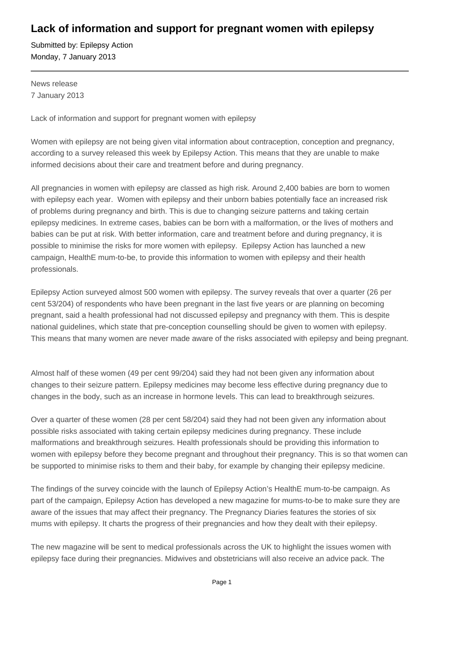## **Lack of information and support for pregnant women with epilepsy**

Submitted by: Epilepsy Action Monday, 7 January 2013

News release 7 January 2013

Lack of information and support for pregnant women with epilepsy

Women with epilepsy are not being given vital information about contraception, conception and pregnancy, according to a survey released this week by Epilepsy Action. This means that they are unable to make informed decisions about their care and treatment before and during pregnancy.

All pregnancies in women with epilepsy are classed as high risk. Around 2,400 babies are born to women with epilepsy each year. Women with epilepsy and their unborn babies potentially face an increased risk of problems during pregnancy and birth. This is due to changing seizure patterns and taking certain epilepsy medicines. In extreme cases, babies can be born with a malformation, or the lives of mothers and babies can be put at risk. With better information, care and treatment before and during pregnancy, it is possible to minimise the risks for more women with epilepsy. Epilepsy Action has launched a new campaign, HealthE mum-to-be, to provide this information to women with epilepsy and their health professionals.

Epilepsy Action surveyed almost 500 women with epilepsy. The survey reveals that over a quarter (26 per cent 53/204) of respondents who have been pregnant in the last five years or are planning on becoming pregnant, said a health professional had not discussed epilepsy and pregnancy with them. This is despite national guidelines, which state that pre-conception counselling should be given to women with epilepsy. This means that many women are never made aware of the risks associated with epilepsy and being pregnant.

Almost half of these women (49 per cent 99/204) said they had not been given any information about changes to their seizure pattern. Epilepsy medicines may become less effective during pregnancy due to changes in the body, such as an increase in hormone levels. This can lead to breakthrough seizures.

Over a quarter of these women (28 per cent 58/204) said they had not been given any information about possible risks associated with taking certain epilepsy medicines during pregnancy. These include malformations and breakthrough seizures. Health professionals should be providing this information to women with epilepsy before they become pregnant and throughout their pregnancy. This is so that women can be supported to minimise risks to them and their baby, for example by changing their epilepsy medicine.

The findings of the survey coincide with the launch of Epilepsy Action's HealthE mum-to-be campaign. As part of the campaign, Epilepsy Action has developed a new magazine for mums-to-be to make sure they are aware of the issues that may affect their pregnancy. The Pregnancy Diaries features the stories of six mums with epilepsy. It charts the progress of their pregnancies and how they dealt with their epilepsy.

The new magazine will be sent to medical professionals across the UK to highlight the issues women with epilepsy face during their pregnancies. Midwives and obstetricians will also receive an advice pack. The